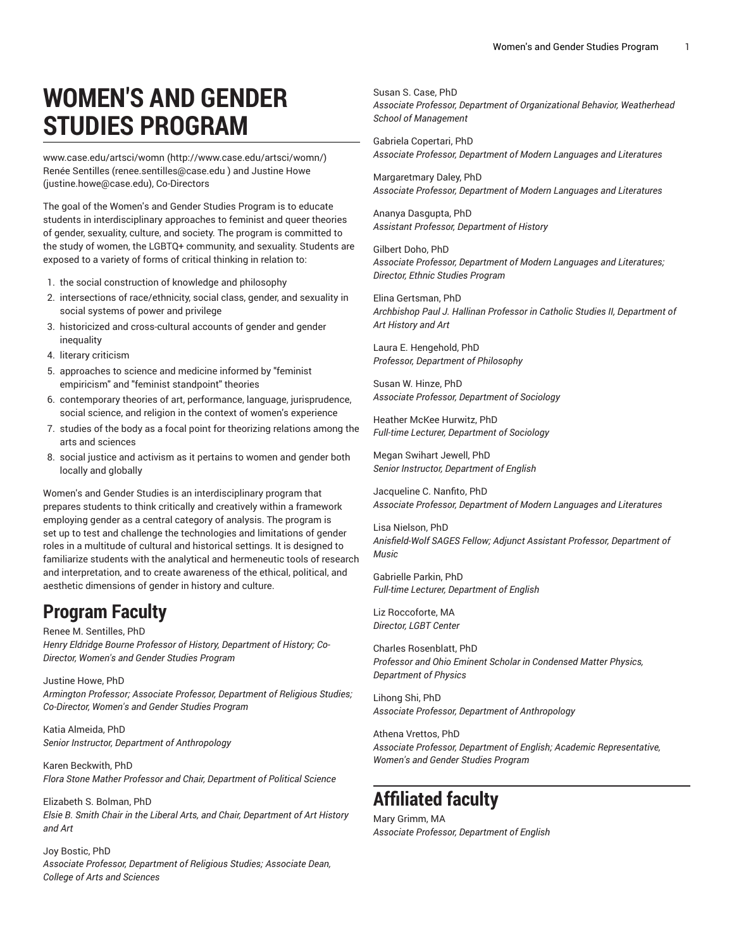# **WOMEN'S AND GENDER STUDIES PROGRAM**

[www.case.edu/artsci/womn](http://www.case.edu/artsci/womn/) [\(http://www.case.edu/artsci/womn/](http://www.case.edu/artsci/womn/)) Renée Sentilles (renee.sentilles@case.edu ) and Justine Howe (justine.howe@case.edu), Co-Directors

The goal of the Women's and Gender Studies Program is to educate students in interdisciplinary approaches to feminist and queer theories of gender, sexuality, culture, and society. The program is committed to the study of women, the LGBTQ+ community, and sexuality. Students are exposed to a variety of forms of critical thinking in relation to:

- 1. the social construction of knowledge and philosophy
- 2. intersections of race/ethnicity, social class, gender, and sexuality in social systems of power and privilege
- 3. historicized and cross-cultural accounts of gender and gender inequality
- 4. literary criticism
- 5. approaches to science and medicine informed by "feminist empiricism" and "feminist standpoint" theories
- 6. contemporary theories of art, performance, language, jurisprudence, social science, and religion in the context of women's experience
- 7. studies of the body as a focal point for theorizing relations among the arts and sciences
- 8. social justice and activism as it pertains to women and gender both locally and globally

Women's and Gender Studies is an interdisciplinary program that prepares students to think critically and creatively within a framework employing gender as a central category of analysis. The program is set up to test and challenge the technologies and limitations of gender roles in a multitude of cultural and historical settings. It is designed to familiarize students with the analytical and hermeneutic tools of research and interpretation, and to create awareness of the ethical, political, and aesthetic dimensions of gender in history and culture.

## **Program Faculty**

Renee M. Sentilles, PhD *Henry Eldridge Bourne Professor of History, Department of History; Co-Director, Women's and Gender Studies Program*

Justine Howe, PhD *Armington Professor; Associate Professor, Department of Religious Studies; Co-Director, Women's and Gender Studies Program*

Katia Almeida, PhD *Senior Instructor, Department of Anthropology*

Karen Beckwith, PhD *Flora Stone Mather Professor and Chair, Department of Political Science*

Elizabeth S. Bolman, PhD *Elsie B. Smith Chair in the Liberal Arts, and Chair, Department of Art History and Art*

Joy Bostic, PhD *Associate Professor, Department of Religious Studies; Associate Dean, College of Arts and Sciences*

Susan S. Case, PhD *Associate Professor, Department of Organizational Behavior, Weatherhead School of Management*

Gabriela Copertari, PhD *Associate Professor, Department of Modern Languages and Literatures*

Margaretmary Daley, PhD *Associate Professor, Department of Modern Languages and Literatures*

Ananya Dasgupta, PhD *Assistant Professor, Department of History*

Gilbert Doho, PhD *Associate Professor, Department of Modern Languages and Literatures; Director, Ethnic Studies Program*

Elina Gertsman, PhD *Archbishop Paul J. Hallinan Professor in Catholic Studies II, Department of Art History and Art*

Laura E. Hengehold, PhD *Professor, Department of Philosophy*

Susan W. Hinze, PhD *Associate Professor, Department of Sociology*

Heather McKee Hurwitz, PhD *Full-time Lecturer, Department of Sociology*

Megan Swihart Jewell, PhD *Senior Instructor, Department of English*

Jacqueline C. Nanfito, PhD *Associate Professor, Department of Modern Languages and Literatures*

Lisa Nielson, PhD *Anisfield-Wolf SAGES Fellow; Adjunct Assistant Professor, Department of Music*

Gabrielle Parkin, PhD *Full-time Lecturer, Department of English*

Liz Roccoforte, MA *Director, LGBT Center*

Charles Rosenblatt, PhD *Professor and Ohio Eminent Scholar in Condensed Matter Physics, Department of Physics*

Lihong Shi, PhD *Associate Professor, Department of Anthropology*

Athena Vrettos, PhD *Associate Professor, Department of English; Academic Representative, Women's and Gender Studies Program*

# **Affiliated faculty**

Mary Grimm, MA *Associate Professor, Department of English*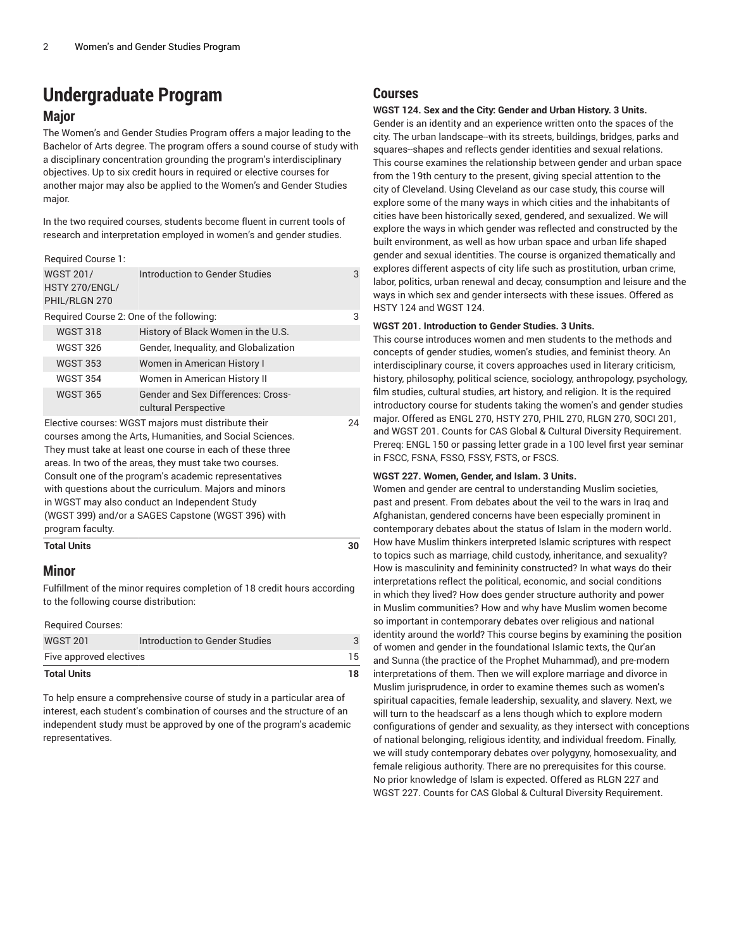# **Undergraduate Program**

### **Major**

The Women's and Gender Studies Program offers a major leading to the Bachelor of Arts degree. The program offers a sound course of study with a disciplinary concentration grounding the program's interdisciplinary objectives. Up to six credit hours in required or elective courses for another major may also be applied to the Women's and Gender Studies major.

In the two required courses, students become fluent in current tools of research and interpretation employed in women's and gender studies.

| Required Course 1:                                                                                                                                                                                                                                                                                                                                                                                                                                                                    |                                                            |    |
|---------------------------------------------------------------------------------------------------------------------------------------------------------------------------------------------------------------------------------------------------------------------------------------------------------------------------------------------------------------------------------------------------------------------------------------------------------------------------------------|------------------------------------------------------------|----|
| <b>WGST 201/</b><br>HSTY 270/ENGL/<br>PHIL/RLGN 270                                                                                                                                                                                                                                                                                                                                                                                                                                   | Introduction to Gender Studies                             | 3  |
| Required Course 2: One of the following:                                                                                                                                                                                                                                                                                                                                                                                                                                              |                                                            |    |
| <b>WGST 318</b>                                                                                                                                                                                                                                                                                                                                                                                                                                                                       | History of Black Women in the U.S.                         |    |
| <b>WGST 326</b>                                                                                                                                                                                                                                                                                                                                                                                                                                                                       | Gender, Inequality, and Globalization                      |    |
| <b>WGST 353</b>                                                                                                                                                                                                                                                                                                                                                                                                                                                                       | Women in American History I                                |    |
| <b>WGST 354</b>                                                                                                                                                                                                                                                                                                                                                                                                                                                                       | Women in American History II                               |    |
| <b>WGST 365</b>                                                                                                                                                                                                                                                                                                                                                                                                                                                                       | Gender and Sex Differences: Cross-<br>cultural Perspective |    |
| Elective courses: WGST majors must distribute their<br>courses among the Arts, Humanities, and Social Sciences.<br>They must take at least one course in each of these three<br>areas. In two of the areas, they must take two courses.<br>Consult one of the program's academic representatives<br>with questions about the curriculum. Majors and minors<br>in WGST may also conduct an Independent Study<br>(WGST 399) and/or a SAGES Capstone (WGST 396) with<br>program faculty. |                                                            | 24 |
| <b>Total Units</b>                                                                                                                                                                                                                                                                                                                                                                                                                                                                    |                                                            | 30 |

## **Minor**

Fulfillment of the minor requires completion of 18 credit hours according to the following course distribution:

Required Courses:

| <b>Total Units</b>      |                                | 18 |
|-------------------------|--------------------------------|----|
| Five approved electives |                                |    |
| <b>WGST 201</b>         | Introduction to Gender Studies |    |

To help ensure a comprehensive course of study in a particular area of interest, each student's combination of courses and the structure of an independent study must be approved by one of the program's academic representatives.

## **Courses**

#### **WGST 124. Sex and the City: Gender and Urban History. 3 Units.**

Gender is an identity and an experience written onto the spaces of the city. The urban landscape--with its streets, buildings, bridges, parks and squares--shapes and reflects gender identities and sexual relations. This course examines the relationship between gender and urban space from the 19th century to the present, giving special attention to the city of Cleveland. Using Cleveland as our case study, this course will explore some of the many ways in which cities and the inhabitants of cities have been historically sexed, gendered, and sexualized. We will explore the ways in which gender was reflected and constructed by the built environment, as well as how urban space and urban life shaped gender and sexual identities. The course is organized thematically and explores different aspects of city life such as prostitution, urban crime, labor, politics, urban renewal and decay, consumption and leisure and the ways in which sex and gender intersects with these issues. Offered as [HSTY](/search/?P=HSTY%20124) 124 and [WGST 124](/search/?P=WGST%20124).

#### **WGST 201. Introduction to Gender Studies. 3 Units.**

This course introduces women and men students to the methods and concepts of gender studies, women's studies, and feminist theory. An interdisciplinary course, it covers approaches used in literary criticism, history, philosophy, political science, sociology, anthropology, psychology, film studies, cultural studies, art history, and religion. It is the required introductory course for students taking the women's and gender studies major. Offered as [ENGL 270](/search/?P=ENGL%20270), [HSTY](/search/?P=HSTY%20270) 270, [PHIL 270](/search/?P=PHIL%20270), [RLGN](/search/?P=RLGN%20270) 270, [SOCI 201,](/search/?P=SOCI%20201) and [WGST 201.](/search/?P=WGST%20201) Counts for CAS Global & Cultural Diversity Requirement. Prereq: [ENGL 150](/search/?P=ENGL%20150) or passing letter grade in a 100 level first year seminar in FSCC, FSNA, FSSO, FSSY, FSTS, or FSCS.

#### **WGST 227. Women, Gender, and Islam. 3 Units.**

Women and gender are central to understanding Muslim societies, past and present. From debates about the veil to the wars in Iraq and Afghanistan, gendered concerns have been especially prominent in contemporary debates about the status of Islam in the modern world. How have Muslim thinkers interpreted Islamic scriptures with respect to topics such as marriage, child custody, inheritance, and sexuality? How is masculinity and femininity constructed? In what ways do their interpretations reflect the political, economic, and social conditions in which they lived? How does gender structure authority and power in Muslim communities? How and why have Muslim women become so important in contemporary debates over religious and national identity around the world? This course begins by examining the position of women and gender in the foundational Islamic texts, the Qur'an and Sunna (the practice of the Prophet Muhammad), and pre-modern interpretations of them. Then we will explore marriage and divorce in Muslim jurisprudence, in order to examine themes such as women's spiritual capacities, female leadership, sexuality, and slavery. Next, we will turn to the headscarf as a lens though which to explore modern configurations of gender and sexuality, as they intersect with conceptions of national belonging, religious identity, and individual freedom. Finally, we will study contemporary debates over polygyny, homosexuality, and female religious authority. There are no prerequisites for this course. No prior knowledge of Islam is expected. Offered as [RLGN](/search/?P=RLGN%20227) 227 and [WGST 227](/search/?P=WGST%20227). Counts for CAS Global & Cultural Diversity Requirement.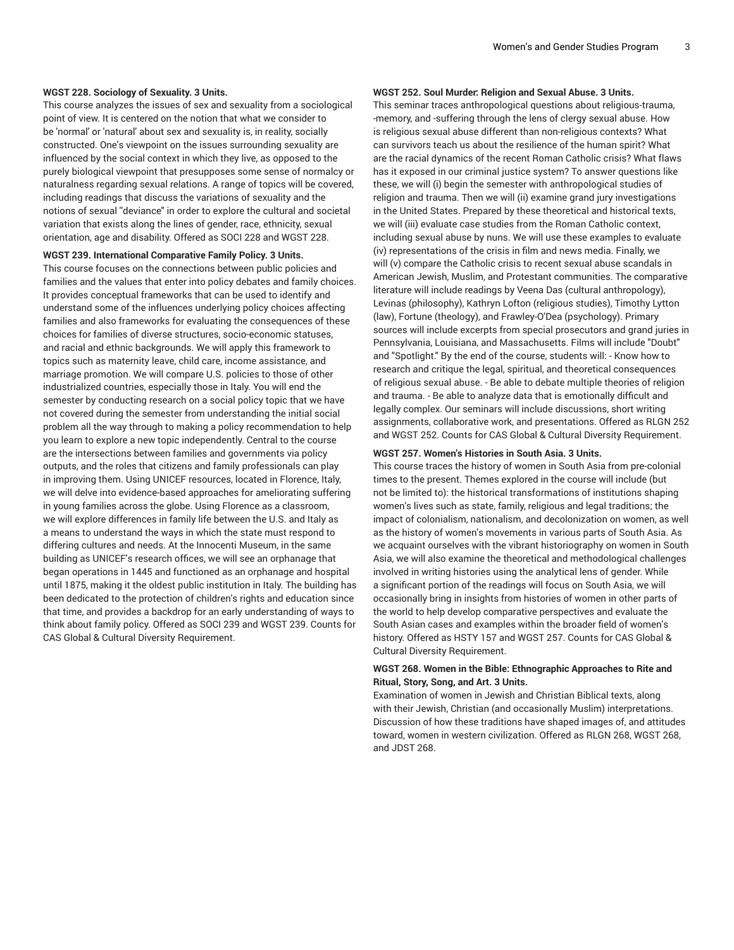#### **WGST 228. Sociology of Sexuality. 3 Units.**

This course analyzes the issues of sex and sexuality from a sociological point of view. It is centered on the notion that what we consider to be 'normal' or 'natural' about sex and sexuality is, in reality, socially constructed. One's viewpoint on the issues surrounding sexuality are influenced by the social context in which they live, as opposed to the purely biological viewpoint that presupposes some sense of normalcy or naturalness regarding sexual relations. A range of topics will be covered, including readings that discuss the variations of sexuality and the notions of sexual ''deviance" in order to explore the cultural and societal variation that exists along the lines of gender, race, ethnicity, sexual orientation, age and disability. Offered as [SOCI 228](/search/?P=SOCI%20228) and [WGST 228.](/search/?P=WGST%20228)

#### **WGST 239. International Comparative Family Policy. 3 Units.**

This course focuses on the connections between public policies and families and the values that enter into policy debates and family choices. It provides conceptual frameworks that can be used to identify and understand some of the influences underlying policy choices affecting families and also frameworks for evaluating the consequences of these choices for families of diverse structures, socio-economic statuses, and racial and ethnic backgrounds. We will apply this framework to topics such as maternity leave, child care, income assistance, and marriage promotion. We will compare U.S. policies to those of other industrialized countries, especially those in Italy. You will end the semester by conducting research on a social policy topic that we have not covered during the semester from understanding the initial social problem all the way through to making a policy recommendation to help you learn to explore a new topic independently. Central to the course are the intersections between families and governments via policy outputs, and the roles that citizens and family professionals can play in improving them. Using UNICEF resources, located in Florence, Italy, we will delve into evidence-based approaches for ameliorating suffering in young families across the globe. Using Florence as a classroom, we will explore differences in family life between the U.S. and Italy as a means to understand the ways in which the state must respond to differing cultures and needs. At the Innocenti Museum, in the same building as UNICEF's research offices, we will see an orphanage that began operations in 1445 and functioned as an orphanage and hospital until 1875, making it the oldest public institution in Italy. The building has been dedicated to the protection of children's rights and education since that time, and provides a backdrop for an early understanding of ways to think about family policy. Offered as [SOCI 239](/search/?P=SOCI%20239) and [WGST 239](/search/?P=WGST%20239). Counts for CAS Global & Cultural Diversity Requirement.

#### **WGST 252. Soul Murder: Religion and Sexual Abuse. 3 Units.**

This seminar traces anthropological questions about religious-trauma, -memory, and -suffering through the lens of clergy sexual abuse. How is religious sexual abuse different than non-religious contexts? What can survivors teach us about the resilience of the human spirit? What are the racial dynamics of the recent Roman Catholic crisis? What flaws has it exposed in our criminal justice system? To answer questions like these, we will (i) begin the semester with anthropological studies of religion and trauma. Then we will (ii) examine grand jury investigations in the United States. Prepared by these theoretical and historical texts, we will (iii) evaluate case studies from the Roman Catholic context, including sexual abuse by nuns. We will use these examples to evaluate (iv) representations of the crisis in film and news media. Finally, we will (v) compare the Catholic crisis to recent sexual abuse scandals in American Jewish, Muslim, and Protestant communities. The comparative literature will include readings by Veena Das (cultural anthropology), Levinas (philosophy), Kathryn Lofton (religious studies), Timothy Lytton (law), Fortune (theology), and Frawley-O'Dea (psychology). Primary sources will include excerpts from special prosecutors and grand juries in Pennsylvania, Louisiana, and Massachusetts. Films will include "Doubt" and "Spotlight." By the end of the course, students will: - Know how to research and critique the legal, spiritual, and theoretical consequences of religious sexual abuse. - Be able to debate multiple theories of religion and trauma. - Be able to analyze data that is emotionally difficult and legally complex. Our seminars will include discussions, short writing assignments, collaborative work, and presentations. Offered as [RLGN](/search/?P=RLGN%20252) 252 and [WGST 252.](/search/?P=WGST%20252) Counts for CAS Global & Cultural Diversity Requirement.

#### **WGST 257. Women's Histories in South Asia. 3 Units.**

This course traces the history of women in South Asia from pre-colonial times to the present. Themes explored in the course will include (but not be limited to): the historical transformations of institutions shaping women's lives such as state, family, religious and legal traditions; the impact of colonialism, nationalism, and decolonization on women, as well as the history of women's movements in various parts of South Asia. As we acquaint ourselves with the vibrant historiography on women in South Asia, we will also examine the theoretical and methodological challenges involved in writing histories using the analytical lens of gender. While a significant portion of the readings will focus on South Asia, we will occasionally bring in insights from histories of women in other parts of the world to help develop comparative perspectives and evaluate the South Asian cases and examples within the broader field of women's history. Offered as [HSTY](/search/?P=HSTY%20157) 157 and [WGST 257.](/search/?P=WGST%20257) Counts for CAS Global & Cultural Diversity Requirement.

#### **WGST 268. Women in the Bible: Ethnographic Approaches to Rite and Ritual, Story, Song, and Art. 3 Units.**

Examination of women in Jewish and Christian Biblical texts, along with their Jewish, Christian (and occasionally Muslim) interpretations. Discussion of how these traditions have shaped images of, and attitudes toward, women in western civilization. Offered as [RLGN](/search/?P=RLGN%20268) 268, [WGST 268,](/search/?P=WGST%20268) and [JDST 268.](/search/?P=JDST%20268)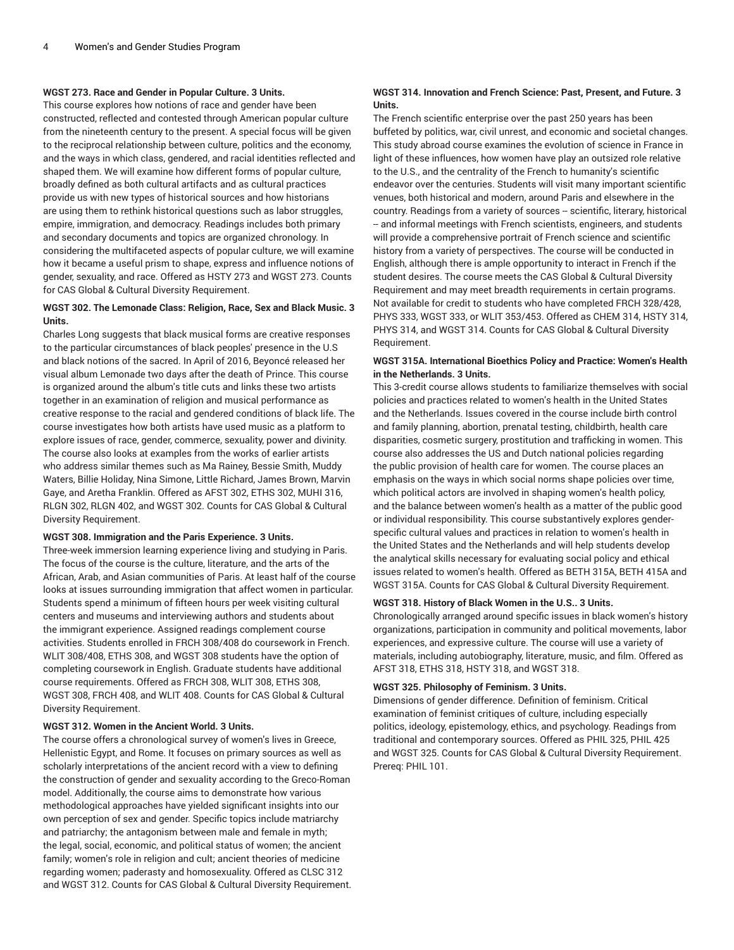#### **WGST 273. Race and Gender in Popular Culture. 3 Units.**

This course explores how notions of race and gender have been constructed, reflected and contested through American popular culture from the nineteenth century to the present. A special focus will be given to the reciprocal relationship between culture, politics and the economy, and the ways in which class, gendered, and racial identities reflected and shaped them. We will examine how different forms of popular culture, broadly defined as both cultural artifacts and as cultural practices provide us with new types of historical sources and how historians are using them to rethink historical questions such as labor struggles, empire, immigration, and democracy. Readings includes both primary and secondary documents and topics are organized chronology. In considering the multifaceted aspects of popular culture, we will examine how it became a useful prism to shape, express and influence notions of gender, sexuality, and race. Offered as [HSTY](/search/?P=HSTY%20273) 273 and [WGST 273.](/search/?P=WGST%20273) Counts for CAS Global & Cultural Diversity Requirement.

#### **WGST 302. The Lemonade Class: Religion, Race, Sex and Black Music. 3 Units.**

Charles Long suggests that black musical forms are creative responses to the particular circumstances of black peoples' presence in the U.S and black notions of the sacred. In April of 2016, Beyoncé released her visual album Lemonade two days after the death of Prince. This course is organized around the album's title cuts and links these two artists together in an examination of religion and musical performance as creative response to the racial and gendered conditions of black life. The course investigates how both artists have used music as a platform to explore issues of race, gender, commerce, sexuality, power and divinity. The course also looks at examples from the works of earlier artists who address similar themes such as Ma Rainey, Bessie Smith, Muddy Waters, Billie Holiday, Nina Simone, Little Richard, James Brown, Marvin Gaye, and Aretha Franklin. Offered as [AFST 302,](/search/?P=AFST%20302) [ETHS](/search/?P=ETHS%20302) 302, [MUHI 316](/search/?P=MUHI%20316), [RLGN](/search/?P=RLGN%20302) 302, [RLGN](/search/?P=RLGN%20402) 402, and [WGST 302.](/search/?P=WGST%20302) Counts for CAS Global & Cultural Diversity Requirement.

#### **WGST 308. Immigration and the Paris Experience. 3 Units.**

Three-week immersion learning experience living and studying in Paris. The focus of the course is the culture, literature, and the arts of the African, Arab, and Asian communities of Paris. At least half of the course looks at issues surrounding immigration that affect women in particular. Students spend a minimum of fifteen hours per week visiting cultural centers and museums and interviewing authors and students about the immigrant experience. Assigned readings complement course activities. Students enrolled in [FRCH 308/](/search/?P=FRCH%20308)408 do coursework in French. [WLIT](/search/?P=WLIT%20308) 308/408, [ETHS](/search/?P=ETHS%20308) 308, and [WGST 308](/search/?P=WGST%20308) students have the option of completing coursework in English. Graduate students have additional course requirements. Offered as [FRCH 308](/search/?P=FRCH%20308), [WLIT](/search/?P=WLIT%20308) 308, [ETHS](/search/?P=ETHS%20308) 308, [WGST 308,](/search/?P=WGST%20308) [FRCH 408](/search/?P=FRCH%20408), and [WLIT](/search/?P=WLIT%20408) 408. Counts for CAS Global & Cultural Diversity Requirement.

#### **WGST 312. Women in the Ancient World. 3 Units.**

The course offers a chronological survey of women's lives in Greece, Hellenistic Egypt, and Rome. It focuses on primary sources as well as scholarly interpretations of the ancient record with a view to defining the construction of gender and sexuality according to the Greco-Roman model. Additionally, the course aims to demonstrate how various methodological approaches have yielded significant insights into our own perception of sex and gender. Specific topics include matriarchy and patriarchy; the antagonism between male and female in myth; the legal, social, economic, and political status of women; the ancient family; women's role in religion and cult; ancient theories of medicine regarding women; paderasty and homosexuality. Offered as [CLSC 312](/search/?P=CLSC%20312) and [WGST 312](/search/?P=WGST%20312). Counts for CAS Global & Cultural Diversity Requirement.

#### **WGST 314. Innovation and French Science: Past, Present, and Future. 3 Units.**

The French scientific enterprise over the past 250 years has been buffeted by politics, war, civil unrest, and economic and societal changes. This study abroad course examines the evolution of science in France in light of these influences, how women have play an outsized role relative to the U.S., and the centrality of the French to humanity's scientific endeavor over the centuries. Students will visit many important scientific venues, both historical and modern, around Paris and elsewhere in the country. Readings from a variety of sources -- scientific, literary, historical - and informal meetings with French scientists, engineers, and students will provide a comprehensive portrait of French science and scientific history from a variety of perspectives. The course will be conducted in English, although there is ample opportunity to interact in French if the student desires. The course meets the CAS Global & Cultural Diversity Requirement and may meet breadth requirements in certain programs. Not available for credit to students who have completed [FRCH 328](/search/?P=FRCH%20328)/428, PHYS 333, [WGST 333,](/search/?P=WGST%20333) or [WLIT](/search/?P=WLIT%20353) 353/453. Offered as [CHEM 314](/search/?P=CHEM%20314), [HSTY](/search/?P=HSTY%20314) 314, [PHYS](/search/?P=PHYS%20314) 314, and [WGST 314](/search/?P=WGST%20314). Counts for CAS Global & Cultural Diversity Requirement.

#### **WGST 315A. International Bioethics Policy and Practice: Women's Health in the Netherlands. 3 Units.**

This 3-credit course allows students to familiarize themselves with social policies and practices related to women's health in the United States and the Netherlands. Issues covered in the course include birth control and family planning, abortion, prenatal testing, childbirth, health care disparities, cosmetic surgery, prostitution and trafficking in women. This course also addresses the US and Dutch national policies regarding the public provision of health care for women. The course places an emphasis on the ways in which social norms shape policies over time, which political actors are involved in shaping women's health policy, and the balance between women's health as a matter of the public good or individual responsibility. This course substantively explores genderspecific cultural values and practices in relation to women's health in the United States and the Netherlands and will help students develop the analytical skills necessary for evaluating social policy and ethical issues related to women's health. Offered as [BETH](/search/?P=BETH%20315A) 315A, [BETH](/search/?P=BETH%20415A) 415A and [WGST 315A](/search/?P=WGST%20315A). Counts for CAS Global & Cultural Diversity Requirement.

#### **WGST 318. History of Black Women in the U.S.. 3 Units.**

Chronologically arranged around specific issues in black women's history organizations, participation in community and political movements, labor experiences, and expressive culture. The course will use a variety of materials, including autobiography, literature, music, and film. Offered as [AFST 318](/search/?P=AFST%20318), [ETHS](/search/?P=ETHS%20318) 318, [HSTY](/search/?P=HSTY%20318) 318, and [WGST 318.](/search/?P=WGST%20318)

#### **WGST 325. Philosophy of Feminism. 3 Units.**

Dimensions of gender difference. Definition of feminism. Critical examination of feminist critiques of culture, including especially politics, ideology, epistemology, ethics, and psychology. Readings from traditional and contemporary sources. Offered as [PHIL 325](/search/?P=PHIL%20325), [PHIL 425](/search/?P=PHIL%20425) and [WGST 325.](/search/?P=WGST%20325) Counts for CAS Global & Cultural Diversity Requirement. Prereq: [PHIL 101.](/search/?P=PHIL%20101)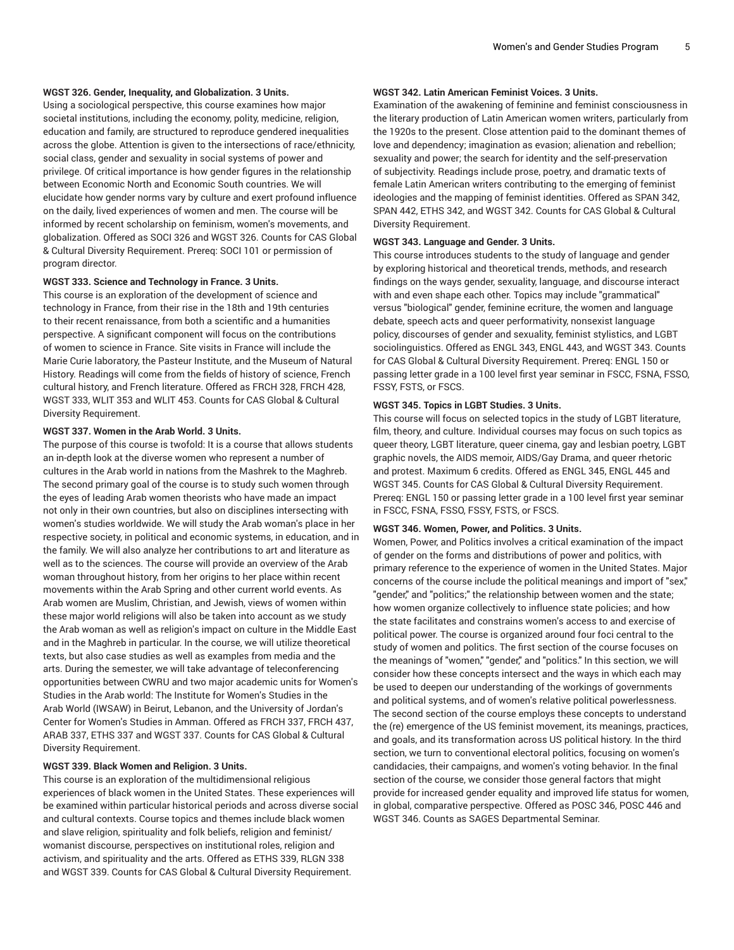#### **WGST 326. Gender, Inequality, and Globalization. 3 Units.**

Using a sociological perspective, this course examines how major societal institutions, including the economy, polity, medicine, religion, education and family, are structured to reproduce gendered inequalities across the globe. Attention is given to the intersections of race/ethnicity, social class, gender and sexuality in social systems of power and privilege. Of critical importance is how gender figures in the relationship between Economic North and Economic South countries. We will elucidate how gender norms vary by culture and exert profound influence on the daily, lived experiences of women and men. The course will be informed by recent scholarship on feminism, women's movements, and globalization. Offered as [SOCI 326](/search/?P=SOCI%20326) and [WGST 326.](/search/?P=WGST%20326) Counts for CAS Global & Cultural Diversity Requirement. Prereq: [SOCI 101](/search/?P=SOCI%20101) or permission of program director.

#### **WGST 333. Science and Technology in France. 3 Units.**

This course is an exploration of the development of science and technology in France, from their rise in the 18th and 19th centuries to their recent renaissance, from both a scientific and a humanities perspective. A significant component will focus on the contributions of women to science in France. Site visits in France will include the Marie Curie laboratory, the Pasteur Institute, and the Museum of Natural History. Readings will come from the fields of history of science, French cultural history, and French literature. Offered as [FRCH 328,](/search/?P=FRCH%20328) [FRCH 428,](/search/?P=FRCH%20428) [WGST 333,](/search/?P=WGST%20333) [WLIT](/search/?P=WLIT%20353) 353 and [WLIT](/search/?P=WLIT%20453) 453. Counts for CAS Global & Cultural Diversity Requirement.

#### **WGST 337. Women in the Arab World. 3 Units.**

The purpose of this course is twofold: It is a course that allows students an in-depth look at the diverse women who represent a number of cultures in the Arab world in nations from the Mashrek to the Maghreb. The second primary goal of the course is to study such women through the eyes of leading Arab women theorists who have made an impact not only in their own countries, but also on disciplines intersecting with women's studies worldwide. We will study the Arab woman's place in her respective society, in political and economic systems, in education, and in the family. We will also analyze her contributions to art and literature as well as to the sciences. The course will provide an overview of the Arab woman throughout history, from her origins to her place within recent movements within the Arab Spring and other current world events. As Arab women are Muslim, Christian, and Jewish, views of women within these major world religions will also be taken into account as we study the Arab woman as well as religion's impact on culture in the Middle East and in the Maghreb in particular. In the course, we will utilize theoretical texts, but also case studies as well as examples from media and the arts. During the semester, we will take advantage of teleconferencing opportunities between CWRU and two major academic units for Women's Studies in the Arab world: The Institute for Women's Studies in the Arab World (IWSAW) in Beirut, Lebanon, and the University of Jordan's Center for Women's Studies in Amman. Offered as [FRCH 337,](/search/?P=FRCH%20337) [FRCH 437](/search/?P=FRCH%20437), [ARAB 337](/search/?P=ARAB%20337), [ETHS](/search/?P=ETHS%20337) 337 and [WGST 337](/search/?P=WGST%20337). Counts for CAS Global & Cultural Diversity Requirement.

#### **WGST 339. Black Women and Religion. 3 Units.**

This course is an exploration of the multidimensional religious experiences of black women in the United States. These experiences will be examined within particular historical periods and across diverse social and cultural contexts. Course topics and themes include black women and slave religion, spirituality and folk beliefs, religion and feminist/ womanist discourse, perspectives on institutional roles, religion and activism, and spirituality and the arts. Offered as [ETHS](/search/?P=ETHS%20339) 339, [RLGN](/search/?P=RLGN%20338) 338 and [WGST 339](/search/?P=WGST%20339). Counts for CAS Global & Cultural Diversity Requirement.

#### **WGST 342. Latin American Feminist Voices. 3 Units.**

Examination of the awakening of feminine and feminist consciousness in the literary production of Latin American women writers, particularly from the 1920s to the present. Close attention paid to the dominant themes of love and dependency; imagination as evasion; alienation and rebellion; sexuality and power; the search for identity and the self-preservation of subjectivity. Readings include prose, poetry, and dramatic texts of female Latin American writers contributing to the emerging of feminist ideologies and the mapping of feminist identities. Offered as [SPAN](/search/?P=SPAN%20342) 342, [SPAN](/search/?P=SPAN%20442) 442, [ETHS](/search/?P=ETHS%20342) 342, and [WGST 342.](/search/?P=WGST%20342) Counts for CAS Global & Cultural Diversity Requirement.

#### **WGST 343. Language and Gender. 3 Units.**

This course introduces students to the study of language and gender by exploring historical and theoretical trends, methods, and research findings on the ways gender, sexuality, language, and discourse interact with and even shape each other. Topics may include "grammatical" versus "biological" gender, feminine ecriture, the women and language debate, speech acts and queer performativity, nonsexist language policy, discourses of gender and sexuality, feminist stylistics, and LGBT sociolinguistics. Offered as [ENGL 343,](/search/?P=ENGL%20343) [ENGL 443,](/search/?P=ENGL%20443) and [WGST 343.](/search/?P=WGST%20343) Counts for CAS Global & Cultural Diversity Requirement. Prereq: [ENGL 150](/search/?P=ENGL%20150) or passing letter grade in a 100 level first year seminar in FSCC, FSNA, FSSO, FSSY, FSTS, or FSCS.

#### **WGST 345. Topics in LGBT Studies. 3 Units.**

This course will focus on selected topics in the study of LGBT literature, film, theory, and culture. Individual courses may focus on such topics as queer theory, LGBT literature, queer cinema, gay and lesbian poetry, LGBT graphic novels, the AIDS memoir, AIDS/Gay Drama, and queer rhetoric and protest. Maximum 6 credits. Offered as [ENGL 345,](/search/?P=ENGL%20345) [ENGL 445](/search/?P=ENGL%20445) and [WGST 345](/search/?P=WGST%20345). Counts for CAS Global & Cultural Diversity Requirement. Prereq: [ENGL 150](/search/?P=ENGL%20150) or passing letter grade in a 100 level first year seminar in FSCC, FSNA, FSSO, FSSY, FSTS, or FSCS.

#### **WGST 346. Women, Power, and Politics. 3 Units.**

Women, Power, and Politics involves a critical examination of the impact of gender on the forms and distributions of power and politics, with primary reference to the experience of women in the United States. Major concerns of the course include the political meanings and import of "sex," "gender," and "politics;" the relationship between women and the state; how women organize collectively to influence state policies; and how the state facilitates and constrains women's access to and exercise of political power. The course is organized around four foci central to the study of women and politics. The first section of the course focuses on the meanings of "women," "gender," and "politics." In this section, we will consider how these concepts intersect and the ways in which each may be used to deepen our understanding of the workings of governments and political systems, and of women's relative political powerlessness. The second section of the course employs these concepts to understand the (re) emergence of the US feminist movement, its meanings, practices, and goals, and its transformation across US political history. In the third section, we turn to conventional electoral politics, focusing on women's candidacies, their campaigns, and women's voting behavior. In the final section of the course, we consider those general factors that might provide for increased gender equality and improved life status for women, in global, comparative perspective. Offered as [POSC 346](/search/?P=POSC%20346), [POSC 446](/search/?P=POSC%20446) and [WGST 346](/search/?P=WGST%20346). Counts as SAGES Departmental Seminar.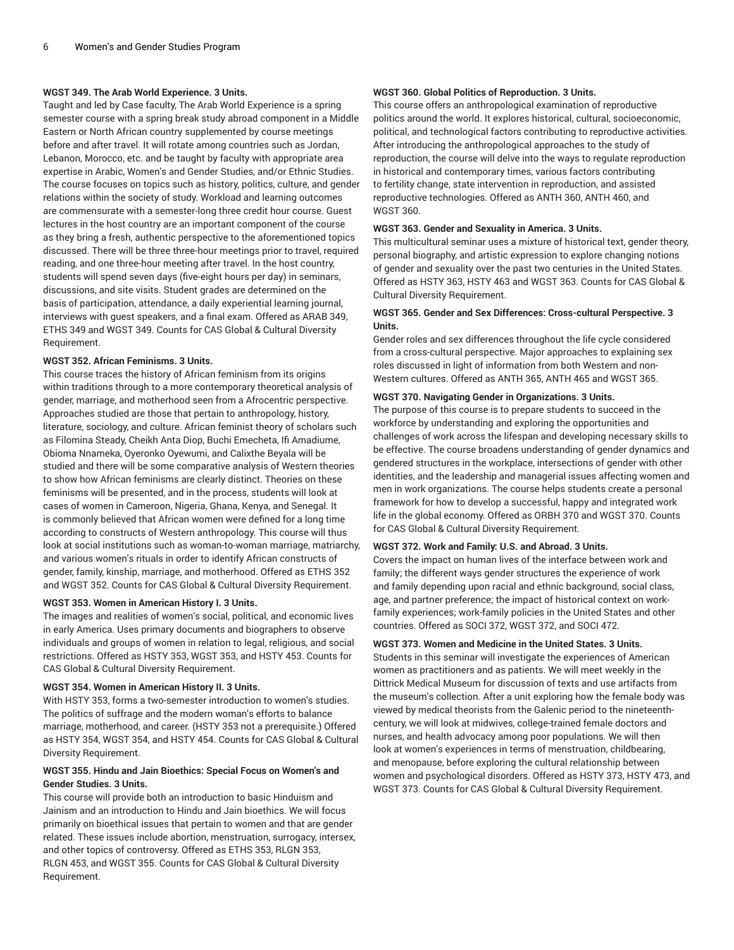#### **WGST 349. The Arab World Experience. 3 Units.**

Taught and led by Case faculty, The Arab World Experience is a spring semester course with a spring break study abroad component in a Middle Eastern or North African country supplemented by course meetings before and after travel. It will rotate among countries such as Jordan, Lebanon, Morocco, etc. and be taught by faculty with appropriate area expertise in Arabic, Women's and Gender Studies, and/or Ethnic Studies. The course focuses on topics such as history, politics, culture, and gender relations within the society of study. Workload and learning outcomes are commensurate with a semester-long three credit hour course. Guest lectures in the host country are an important component of the course as they bring a fresh, authentic perspective to the aforementioned topics discussed. There will be three three-hour meetings prior to travel, required reading, and one three-hour meeting after travel. In the host country, students will spend seven days (five-eight hours per day) in seminars, discussions, and site visits. Student grades are determined on the basis of participation, attendance, a daily experiential learning journal, interviews with guest speakers, and a final exam. Offered as [ARAB 349,](/search/?P=ARAB%20349) [ETHS](/search/?P=ETHS%20349) 349 and [WGST 349.](/search/?P=WGST%20349) Counts for CAS Global & Cultural Diversity Requirement.

#### **WGST 352. African Feminisms. 3 Units.**

This course traces the history of African feminism from its origins within traditions through to a more contemporary theoretical analysis of gender, marriage, and motherhood seen from a Afrocentric perspective. Approaches studied are those that pertain to anthropology, history, literature, sociology, and culture. African feminist theory of scholars such as Filomina Steady, Cheikh Anta Diop, Buchi Emecheta, Ifi Amadiume, Obioma Nnameka, Oyeronko Oyewumi, and Calixthe Beyala will be studied and there will be some comparative analysis of Western theories to show how African feminisms are clearly distinct. Theories on these feminisms will be presented, and in the process, students will look at cases of women in Cameroon, Nigeria, Ghana, Kenya, and Senegal. It is commonly believed that African women were defined for a long time according to constructs of Western anthropology. This course will thus look at social institutions such as woman-to-woman marriage, matriarchy, and various women's rituals in order to identify African constructs of gender, family, kinship, marriage, and motherhood. Offered as [ETHS](/search/?P=ETHS%20352) 352 and [WGST 352](/search/?P=WGST%20352). Counts for CAS Global & Cultural Diversity Requirement.

#### **WGST 353. Women in American History I. 3 Units.**

The images and realities of women's social, political, and economic lives in early America. Uses primary documents and biographers to observe individuals and groups of women in relation to legal, religious, and social restrictions. Offered as [HSTY](/search/?P=HSTY%20353) 353, [WGST 353](/search/?P=WGST%20353), and [HSTY](/search/?P=HSTY%20453) 453. Counts for CAS Global & Cultural Diversity Requirement.

#### **WGST 354. Women in American History II. 3 Units.**

With [HSTY](/search/?P=HSTY%20353) 353, forms a two-semester introduction to women's studies. The politics of suffrage and the modern woman's efforts to balance marriage, motherhood, and career. [\(HSTY](/search/?P=HSTY%20353) 353 not a prerequisite.) Offered as [HSTY](/search/?P=HSTY%20354) 354, [WGST 354,](/search/?P=WGST%20354) and [HSTY](/search/?P=HSTY%20454) 454. Counts for CAS Global & Cultural Diversity Requirement.

#### **WGST 355. Hindu and Jain Bioethics: Special Focus on Women's and Gender Studies. 3 Units.**

This course will provide both an introduction to basic Hinduism and Jainism and an introduction to Hindu and Jain bioethics. We will focus primarily on bioethical issues that pertain to women and that are gender related. These issues include abortion, menstruation, surrogacy, intersex, and other topics of controversy. Offered as [ETHS](/search/?P=ETHS%20353) 353, [RLGN](/search/?P=RLGN%20353) 353, [RLGN](/search/?P=RLGN%20453) 453, and [WGST 355.](/search/?P=WGST%20355) Counts for CAS Global & Cultural Diversity Requirement.

#### **WGST 360. Global Politics of Reproduction. 3 Units.**

This course offers an anthropological examination of reproductive politics around the world. It explores historical, cultural, socioeconomic, political, and technological factors contributing to reproductive activities. After introducing the anthropological approaches to the study of reproduction, the course will delve into the ways to regulate reproduction in historical and contemporary times, various factors contributing to fertility change, state intervention in reproduction, and assisted reproductive technologies. Offered as [ANTH](/search/?P=ANTH%20360) 360, [ANTH](/search/?P=ANTH%20460) 460, and [WGST 360](/search/?P=WGST%20360).

#### **WGST 363. Gender and Sexuality in America. 3 Units.**

This multicultural seminar uses a mixture of historical text, gender theory, personal biography, and artistic expression to explore changing notions of gender and sexuality over the past two centuries in the United States. Offered as [HSTY](/search/?P=HSTY%20363) 363, [HSTY](/search/?P=HSTY%20463) 463 and [WGST 363.](/search/?P=WGST%20363) Counts for CAS Global & Cultural Diversity Requirement.

#### **WGST 365. Gender and Sex Differences: Cross-cultural Perspective. 3 Units.**

Gender roles and sex differences throughout the life cycle considered from a cross-cultural perspective. Major approaches to explaining sex roles discussed in light of information from both Western and non-Western cultures. Offered as [ANTH](/search/?P=ANTH%20365) 365, [ANTH](/search/?P=ANTH%20465) 465 and [WGST 365](/search/?P=WGST%20365).

#### **WGST 370. Navigating Gender in Organizations. 3 Units.**

The purpose of this course is to prepare students to succeed in the workforce by understanding and exploring the opportunities and challenges of work across the lifespan and developing necessary skills to be effective. The course broadens understanding of gender dynamics and gendered structures in the workplace, intersections of gender with other identities, and the leadership and managerial issues affecting women and men in work organizations. The course helps students create a personal framework for how to develop a successful, happy and integrated work life in the global economy. Offered as [ORBH 370](/search/?P=ORBH%20370) and [WGST 370](/search/?P=WGST%20370). Counts for CAS Global & Cultural Diversity Requirement.

#### **WGST 372. Work and Family: U.S. and Abroad. 3 Units.**

Covers the impact on human lives of the interface between work and family; the different ways gender structures the experience of work and family depending upon racial and ethnic background, social class, age, and partner preference; the impact of historical context on workfamily experiences; work-family policies in the United States and other countries. Offered as [SOCI 372,](/search/?P=SOCI%20372) [WGST 372,](/search/?P=WGST%20372) and [SOCI 472](/search/?P=SOCI%20472).

#### **WGST 373. Women and Medicine in the United States. 3 Units.**

Students in this seminar will investigate the experiences of American women as practitioners and as patients. We will meet weekly in the Dittrick Medical Museum for discussion of texts and use artifacts from the museum's collection. After a unit exploring how the female body was viewed by medical theorists from the Galenic period to the nineteenthcentury, we will look at midwives, college-trained female doctors and nurses, and health advocacy among poor populations. We will then look at women's experiences in terms of menstruation, childbearing, and menopause, before exploring the cultural relationship between women and psychological disorders. Offered as [HSTY](/search/?P=HSTY%20373) 373, [HSTY](/search/?P=HSTY%20473) 473, and [WGST 373](/search/?P=WGST%20373). Counts for CAS Global & Cultural Diversity Requirement.